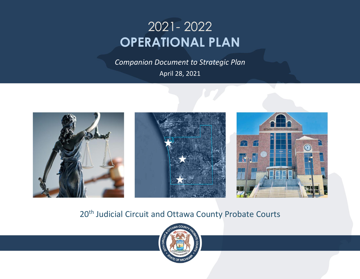# 2021- 2022 **OPERATIONAL PLAN**

*Companion Document to Strategic Plan* April 28, 2021







# 20<sup>th</sup> Judicial Circuit and Ottawa County Probate Courts

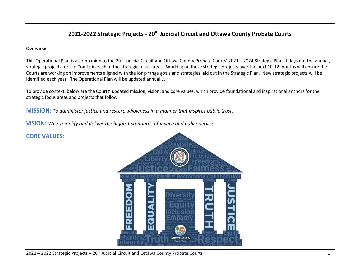# **2021-2022 Strategic Projects - 20th Judicial Circuit and Ottawa County Probate Courts**

#### **Overview**

This Operational Plan is a companion to the 20<sup>th</sup> Judicial Circuit and Ottawa County Probate Courts' 2021 – 2024 Strategic Plan. It lays out the annual, strategic projects for the Courts in each of the strategic focus areas. Working on these strategic projects over the next 10-12 months will ensure the Courts are working on improvements aligned with the long-range goals and strategies laid out in the Strategic Plan. New strategic projects will be identified each year. The Operational Plan will be updated annually.

To provide context, below are the Courts' updated mission, vision, and core values, which provide foundational and inspirational anchors for the strategic focus areas and projects that follow.

**MISSION:** *To administer justice and restore wholeness in a manner that inspires public trust.*

**VISION:** *We exemplify and deliver the highest standards of justice and public service.*



# **CORE VALUES:**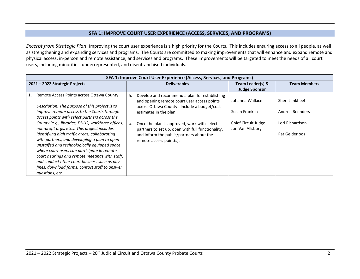# **SFA 1: IMPROVE COURT USER EXPERIENCE (ACCESS, SERVICES, AND PROGRAMS)**

*Excerpt from Strategic Plan*: Improving the court user experience is a high priority for the Courts. This includes ensuring access to all people, as well as strengthening and expanding services and programs. The Courts are committed to making improvements that will enhance and expand remote and physical access, in-person and remote assistance, and services and programs. These improvements will be targeted to meet the needs of all court users, including minorities, underrepresented, and disenfranchised individuals.

| SFA 1: Improve Court User Experience (Access, Services, and Programs)                                                                                                                                                                                                                                                                                                                                                                                                                                                                                                                                                                                                          |                                                                                                                                                                                                                                                                                                                                                              |                                                                                                      |                                                                        |  |  |
|--------------------------------------------------------------------------------------------------------------------------------------------------------------------------------------------------------------------------------------------------------------------------------------------------------------------------------------------------------------------------------------------------------------------------------------------------------------------------------------------------------------------------------------------------------------------------------------------------------------------------------------------------------------------------------|--------------------------------------------------------------------------------------------------------------------------------------------------------------------------------------------------------------------------------------------------------------------------------------------------------------------------------------------------------------|------------------------------------------------------------------------------------------------------|------------------------------------------------------------------------|--|--|
| 2021 – 2022 Strategic Projects                                                                                                                                                                                                                                                                                                                                                                                                                                                                                                                                                                                                                                                 | <b>Deliverables</b>                                                                                                                                                                                                                                                                                                                                          | Team Leader(s) &                                                                                     | <b>Team Members</b>                                                    |  |  |
| 1.<br>Remote Access Points across Ottawa County<br>Description: The purpose of this project is to<br>improve remote access to the Courts through<br>access points with select partners across the<br>County (e.g., libraries, DHHS, workforce offices,<br>non-profit orgs, etc.). This project includes<br>identifying high traffic areas, collaborating<br>with partners, and developing a plan to open<br>unstaffed and technologically equipped space<br>where court users can participate in remote<br>court hearings and remote meetings with staff,<br>and conduct other court business such as pay<br>fines, download forms, contact staff to answer<br>questions, etc. | Develop and recommend a plan for establishing<br>a.<br>and opening remote court user access points<br>across Ottawa County. Include a budget/cost<br>estimates in the plan.<br>Once the plan is approved, work with select<br>b.<br>partners to set up, open with full functionality,<br>and inform the public/partners about the<br>remote access point(s). | <b>Judge Sponsor</b><br>Johanna Wallace<br>Susan Franklin<br>Chief Circuit Judge<br>Jon Van Allsburg | Sheri Lankheet<br>Andrea Reenders<br>Lori Richardson<br>Pat Gelderloos |  |  |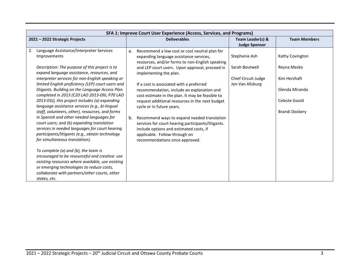| SFA 1: Improve Court User Experience (Access, Services, and Programs)                                                                                                                                                                                                                                                                                                                                                                                                                                                                                                                                                                                                                                                                                               |                                                                                                                                                                                                                                                                                                                                                                                                                                                                                                                                                                                                                                                                                      |                                                                            |                                                                                                            |  |
|---------------------------------------------------------------------------------------------------------------------------------------------------------------------------------------------------------------------------------------------------------------------------------------------------------------------------------------------------------------------------------------------------------------------------------------------------------------------------------------------------------------------------------------------------------------------------------------------------------------------------------------------------------------------------------------------------------------------------------------------------------------------|--------------------------------------------------------------------------------------------------------------------------------------------------------------------------------------------------------------------------------------------------------------------------------------------------------------------------------------------------------------------------------------------------------------------------------------------------------------------------------------------------------------------------------------------------------------------------------------------------------------------------------------------------------------------------------------|----------------------------------------------------------------------------|------------------------------------------------------------------------------------------------------------|--|
| 2021 - 2022 Strategic Projects                                                                                                                                                                                                                                                                                                                                                                                                                                                                                                                                                                                                                                                                                                                                      | <b>Deliverables</b>                                                                                                                                                                                                                                                                                                                                                                                                                                                                                                                                                                                                                                                                  | Team Leader(s) &<br><b>Judge Sponsor</b>                                   | <b>Team Members</b>                                                                                        |  |
| Language Assistance/Interpreter Services<br>2.<br>Improvements<br>Description: The purpose of this project is to<br>expand language assistance, resources, and<br>interpreter services for non-English speaking or<br>limited English proficiency (LEP) court users and<br>litigants. Building on the Language Access Plan<br>completed in 2013 (C20 LAO 2013-09J; P70 LAO<br>2013-03J), this project includes (a) expanding<br>language assistance services (e.g., bi-lingual<br>staff, volunteers, other), resources, and forms<br>in Spanish and other needed languages for<br>court users; and (b) expanding translation<br>services in needed languages for court hearing<br>participants/litigants (e.g., obtain technology<br>for simultaneous translation). | Recommend a low cost or cost neutral plan for<br>a.<br>expanding language assistance services,<br>resources, and/or forms to non-English speaking<br>and LEP court users. Upon approval, proceed in<br>implementing the plan.<br>If a cost is associated with a preferred<br>recommendation, include an explanation and<br>cost estimate in the plan. It may be feasible to<br>request additional resources in the next budget<br>cycle or in future years.<br>b.<br>Recommend ways to expand needed translation<br>services for court hearing participants/litigants.<br>Include options and estimated costs, if<br>applicable. Follow-through on<br>recommendations once approved. | Stephanie Ash<br>Sarah Boutwell<br>Chief Circuit Judge<br>Jon Van Allsburg | Kathy Covington<br>Reyna Masko<br>Kim Herzhaft<br>Glenda Miranda<br>Celeste Gould<br><b>Brandi Dockery</b> |  |
| To complete (a) and (b), the team is<br>encouraged to be resourceful and creative: use<br>existing resources where available, use existing<br>or emerging technologies to reduce costs,<br>collaborate with partners/other courts, other<br>states, etc.                                                                                                                                                                                                                                                                                                                                                                                                                                                                                                            |                                                                                                                                                                                                                                                                                                                                                                                                                                                                                                                                                                                                                                                                                      |                                                                            |                                                                                                            |  |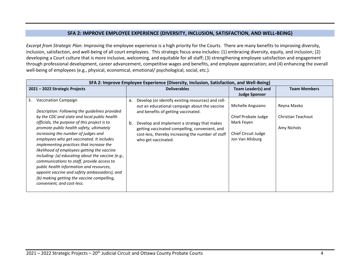## **SFA 2: IMPROVE EMPLOYEE EXPERIENCE (DIVERSITY, INCLUSION, SATISFACTION, AND WELL-BEING)**

*Excerpt from Strategic Plan*: Improving the employee experience is a high priority for the Courts. There are many benefits to improving diversity, inclusion, satisfaction, and well-being of all court employees. This strategic focus area includes: (1) embracing diversity, equity, and inclusion; (2) developing a Court culture that is more inclusive, welcoming, and equitable for all staff; (3) strengthening employee satisfaction and engagement through professional development, career advancement, competitive wages and benefits, and employee appreciation; and (4) enhancing the overall well-being of employees (e.g., physical, economical, emotional/ psychological, social, etc.).

| SFA 2: Improve Employee Experience (Diversity, Inclusion, Satisfaction, and Well-Being)                                                                                                                                                                                                                                                                                                                                                                                                                                                                                                                                                                                                   |          |                                                                                                                                                                                                                                                                                                                         |                                                                                                   |                                                  |  |
|-------------------------------------------------------------------------------------------------------------------------------------------------------------------------------------------------------------------------------------------------------------------------------------------------------------------------------------------------------------------------------------------------------------------------------------------------------------------------------------------------------------------------------------------------------------------------------------------------------------------------------------------------------------------------------------------|----------|-------------------------------------------------------------------------------------------------------------------------------------------------------------------------------------------------------------------------------------------------------------------------------------------------------------------------|---------------------------------------------------------------------------------------------------|--------------------------------------------------|--|
| 2021 – 2022 Strategic Projects                                                                                                                                                                                                                                                                                                                                                                                                                                                                                                                                                                                                                                                            |          | <b>Deliverables</b>                                                                                                                                                                                                                                                                                                     | Team Leader(s) and                                                                                | <b>Team Members</b>                              |  |
|                                                                                                                                                                                                                                                                                                                                                                                                                                                                                                                                                                                                                                                                                           |          |                                                                                                                                                                                                                                                                                                                         | <b>Judge Sponsor</b>                                                                              |                                                  |  |
| 3.<br><b>Vaccination Campaign</b><br>Description: Following the guidelines provided<br>by the CDC and state and local public health<br>officials, the purpose of this project is to<br>promote public health safety, ultimately<br>increasing the number of judges and<br>employees who get vaccinated. It includes<br>implementing practices that increase the<br>likelihood of employees getting the vaccine<br>including: (a) educating about the vaccine (e.g.,<br>communications to staff, provide access to<br>public health information and resources,<br>appoint vaccine and safety ambassadors), and<br>(b) making getting the vaccine compelling,<br>convenient, and cost-less. | a.<br>b. | Develop (or identify existing resources) and roll-<br>out an educational campaign about the vaccine<br>and benefits of getting vaccinated.<br>Develop and implement a strategy that makes<br>getting vaccinated compelling, convenient, and<br>cost-less, thereby increasing the number of staff<br>who get vaccinated. | Michelle Anguiano<br>Chief Probate Judge<br>Mark Feyen<br>Chief Circuit Judge<br>Jon Van Allsburg | Reyna Masko<br>Christian Teachout<br>Amy Nichols |  |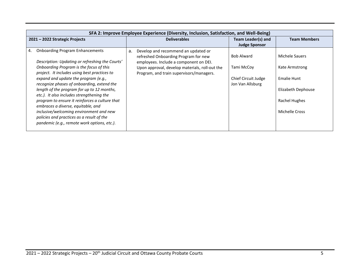|                                | SFA 2: Improve Employee Experience (Diversity, Inclusion, Satisfaction, and Well-Being)                                             |    |                                                                                                                       |                                            |                     |  |  |  |  |                                                                                            |                                         |                |
|--------------------------------|-------------------------------------------------------------------------------------------------------------------------------------|----|-----------------------------------------------------------------------------------------------------------------------|--------------------------------------------|---------------------|--|--|--|--|--------------------------------------------------------------------------------------------|-----------------------------------------|----------------|
| 2021 - 2022 Strategic Projects |                                                                                                                                     |    | <b>Deliverables</b>                                                                                                   | Team Leader(s) and<br><b>Judge Sponsor</b> | <b>Team Members</b> |  |  |  |  |                                                                                            |                                         |                |
| 4.                             | <b>Onboarding Program Enhancements</b><br>Description: Updating or refreshing the Courts'                                           | a. | Develop and recommend an updated or<br>refreshed Onboarding Program for new<br>employees. Include a component on DEI. | <b>Bob Alward</b>                          | Michele Sauers      |  |  |  |  |                                                                                            |                                         |                |
|                                | Onboarding Program is the focus of this<br>project. It includes using best practices to                                             |    |                                                                                                                       |                                            |                     |  |  |  |  | Upon approval, develop materials, roll-out the<br>Program, and train supervisors/managers. | Tami McCoy                              | Kate Armstrong |
|                                | expand and update the program (e.g.,<br>recognize phases of onboarding, extend the                                                  |    |                                                                                                                       |                                            |                     |  |  |  |  |                                                                                            | Chief Circuit Judge<br>Jon Van Allsburg | Emalie Hunt    |
|                                | length of the program for up to 12 months,<br>etc.). It also includes strengthening the                                             |    |                                                                                                                       |                                            | Elizabeth Dephouse  |  |  |  |  |                                                                                            |                                         |                |
|                                | program to ensure it reinforces a culture that<br>embraces a diverse, equitable, and                                                |    |                                                                                                                       |                                            | Rachel Hughes       |  |  |  |  |                                                                                            |                                         |                |
|                                | inclusive/welcoming environment and new<br>policies and practices as a result of the<br>pandemic (e.g., remote work options, etc.). |    |                                                                                                                       |                                            | Michelle Cross      |  |  |  |  |                                                                                            |                                         |                |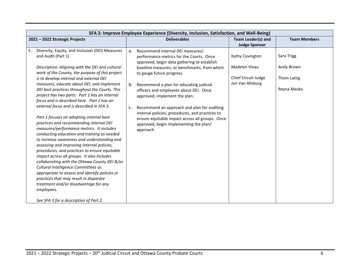|    | SFA 2: Improve Employee Experience (Diversity, Inclusion, Satisfaction, and Well-Being)                                                                                                                                                                                                                                                                                                                                                                                                                                                                                                                                                                                                                                                                                                                                                                                                                                                                                                                                                                                        |                            |                                                                                                                                                                                                                                                                                                                                                                                                                                                                                                                                            |                                                                             |                                                        |
|----|--------------------------------------------------------------------------------------------------------------------------------------------------------------------------------------------------------------------------------------------------------------------------------------------------------------------------------------------------------------------------------------------------------------------------------------------------------------------------------------------------------------------------------------------------------------------------------------------------------------------------------------------------------------------------------------------------------------------------------------------------------------------------------------------------------------------------------------------------------------------------------------------------------------------------------------------------------------------------------------------------------------------------------------------------------------------------------|----------------------------|--------------------------------------------------------------------------------------------------------------------------------------------------------------------------------------------------------------------------------------------------------------------------------------------------------------------------------------------------------------------------------------------------------------------------------------------------------------------------------------------------------------------------------------------|-----------------------------------------------------------------------------|--------------------------------------------------------|
|    | 2021 - 2022 Strategic Projects                                                                                                                                                                                                                                                                                                                                                                                                                                                                                                                                                                                                                                                                                                                                                                                                                                                                                                                                                                                                                                                 |                            | <b>Deliverables</b>                                                                                                                                                                                                                                                                                                                                                                                                                                                                                                                        | <b>Team Leader(s) and</b><br><b>Judge Sponsor</b>                           | <b>Team Members</b>                                    |
| 5. | Diversity, Equity, and Inclusion (DEI) Measures<br>and Audit (Part 1)<br>Description: Aligning with the DEI and cultural<br>work of the County, the purpose of this project<br>is to develop internal and external DEI<br>measures, educate about DEI, and implement<br>DEI best practices throughout the Courts. This<br>project has two parts: Part 1 has an internal<br>focus and is described here. Part 2 has an<br>external focus and is described in SFA 3.<br>Part 1 focuses on adopting internal best<br>practices and recommending internal DEI<br>measures/performance metrics. It includes<br>conducting education and training as needed<br>to increase awareness and understanding and<br>assessing and improving internal policies,<br>procedures, and practices to ensure equitable<br>impact across all groups. It also includes<br>collaborating with the Ottawa County DEI &/or<br>Cultural Intelligence Committees as<br>appropriate to assess and identify policies or<br>practices that may result in disparate<br>treatment and/or disadvantage for any | a <sub>r</sub><br>b.<br>c. | Recommend internal DEI measures/<br>performance metrics for the Courts. Once<br>approved, begin data gathering to establish<br>baseline measures, or benchmarks, from which<br>to gauge future progress.<br>Recommend a plan for educating judicial<br>officers and employees about DEI. Once<br>approved, implement the plan.<br>Recommend an approach and plan for auditing<br>internal policies, procedures, and practices to<br>ensure equitable impact across all groups. Once<br>approved, begin implementing the plan/<br>approach. | Kathy Covington<br>Madelyn Vieau<br>Chief Circuit Judge<br>Jon Van Allsburg | Sara Trigg<br>Andy Brown<br>Thom Lattig<br>Reyna Masko |
|    | employees.<br>See SFA 3 for a description of Part 2.                                                                                                                                                                                                                                                                                                                                                                                                                                                                                                                                                                                                                                                                                                                                                                                                                                                                                                                                                                                                                           |                            |                                                                                                                                                                                                                                                                                                                                                                                                                                                                                                                                            |                                                                             |                                                        |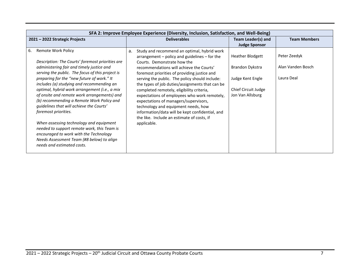| SFA 2: Improve Employee Experience (Diversity, Inclusion, Satisfaction, and Well-Being)                                                                                                                                                                                                                                                                                                                                                                                                                                                                                                                                                                                                                         |                                                                                                                                                                                                                                                                                                                                                                                                                                                                                                                                                                                                                                     |                                                                                                           |                                                 |  |  |  |
|-----------------------------------------------------------------------------------------------------------------------------------------------------------------------------------------------------------------------------------------------------------------------------------------------------------------------------------------------------------------------------------------------------------------------------------------------------------------------------------------------------------------------------------------------------------------------------------------------------------------------------------------------------------------------------------------------------------------|-------------------------------------------------------------------------------------------------------------------------------------------------------------------------------------------------------------------------------------------------------------------------------------------------------------------------------------------------------------------------------------------------------------------------------------------------------------------------------------------------------------------------------------------------------------------------------------------------------------------------------------|-----------------------------------------------------------------------------------------------------------|-------------------------------------------------|--|--|--|
| 2021 - 2022 Strategic Projects                                                                                                                                                                                                                                                                                                                                                                                                                                                                                                                                                                                                                                                                                  | <b>Deliverables</b>                                                                                                                                                                                                                                                                                                                                                                                                                                                                                                                                                                                                                 | Team Leader(s) and<br><b>Judge Sponsor</b>                                                                | <b>Team Members</b>                             |  |  |  |
| 6.<br><b>Remote Work Policy</b><br>Description: The Courts' foremost priorities are<br>administering fair and timely justice and<br>serving the public. The focus of this project is<br>preparing for the "new future of work." It<br>includes (a) studying and recommending an<br>optimal, hybrid work arrangement (i.e., a mix<br>of onsite and remote work arrangements) and<br>(b) recommending a Remote Work Policy and<br>guidelines that will achieve the Courts'<br>foremost priorities.<br>When assessing technology and equipment<br>needed to support remote work, this Team is<br>encouraged to work with the Technology<br>Needs Assessment Team (#8 below) to align<br>needs and estimated costs. | Study and recommend an optimal, hybrid work<br>a.<br>$arrangement - policy$ and guidelines $-$ for the<br>Courts. Demonstrate how the<br>recommendations will achieve the Courts'<br>foremost priorities of providing justice and<br>serving the public. The policy should include:<br>the types of job duties/assignments that can be<br>completed remotely, eligibility criteria,<br>expectations of employees who work remotely,<br>expectations of managers/supervisors,<br>technology and equipment needs, how<br>information/data will be kept confidential, and<br>the like. Include an estimate of costs, if<br>applicable. | <b>Heather Blodgett</b><br>Brandon Dykstra<br>Judge Kent Engle<br>Chief Circuit Judge<br>Jon Van Allsburg | Peter Zeedyk<br>Alan Vanden Bosch<br>Laura Deal |  |  |  |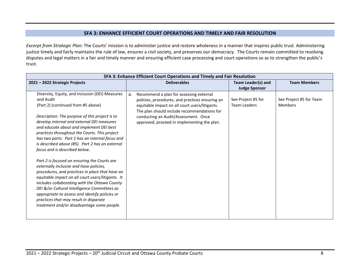## **SFA 3: ENHANCE EFFICIENT COURT OPERATIONS AND TIMELY AND FAIR RESOLUTION**

*Excerpt from Strategic Plan:* The Courts' mission is to administer justice and restore wholeness in a manner that inspires public trust. Administering justice timely and fairly maintains the rule of law, ensures a civil society, and preserves our democracy. The Courts remain committed to resolving disputes and legal matters in a fair and timely manner and ensuring efficient case processing and court operations so as to strengthen the public's trust.

| SFA 3: Enhance Efficient Court Operations and Timely and Fair Resolution                                                                                                                                                                                                                                                                                                                                                                                                                                                                                                                                                                                                                                                                                                                                                                                                             |                                                                                                                                                                                                                                                                                          |                                            |                                           |  |  |
|--------------------------------------------------------------------------------------------------------------------------------------------------------------------------------------------------------------------------------------------------------------------------------------------------------------------------------------------------------------------------------------------------------------------------------------------------------------------------------------------------------------------------------------------------------------------------------------------------------------------------------------------------------------------------------------------------------------------------------------------------------------------------------------------------------------------------------------------------------------------------------------|------------------------------------------------------------------------------------------------------------------------------------------------------------------------------------------------------------------------------------------------------------------------------------------|--------------------------------------------|-------------------------------------------|--|--|
| 2021 - 2022 Strategic Projects                                                                                                                                                                                                                                                                                                                                                                                                                                                                                                                                                                                                                                                                                                                                                                                                                                                       | <b>Deliverables</b>                                                                                                                                                                                                                                                                      | Team Leader(s) and<br><b>Judge Sponsor</b> | <b>Team Members</b>                       |  |  |
| Diversity, Equity, and Inclusion (DEI) Measures<br>and Audit<br>(Part 2) (continued from #5 above)<br>Description: The purpose of this project is to<br>develop internal and external DEI measures<br>and educate about and implement DEI best<br>practices throughout the Courts. This project<br>has two parts: Part 1 has an internal focus and<br>is described above (#5). Part 2 has an external<br>focus and is described below.<br>Part 2 is focused on ensuring the Courts are<br>externally inclusive and have policies,<br>procedures, and practices in place that have an<br>equitable impact on all court users/litigants. It<br>includes collaborating with the Ottawa County<br>DEI &/or Cultural Intelligence Committees as<br>appropriate to assess and identify policies or<br>practices that may result in disparate<br>treatment and/or disadvantage some people. | Recommend a plan for assessing external<br>a.<br>policies, procedures, and practices ensuring an<br>equitable impact on all court users/litigants.<br>The plan should include recommendations for<br>conducting an Audit/Assessment. Once<br>approved, proceed in implementing the plan. | See Project #5 for<br><b>Team Leaders</b>  | See Project #5 for Team<br><b>Members</b> |  |  |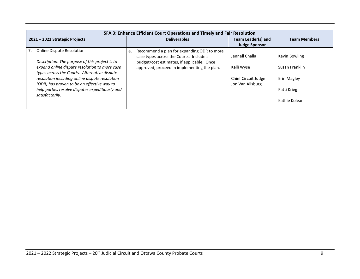|                                | SFA 3: Enhance Efficient Court Operations and Timely and Fair Resolution                                                                                                                                                                                                                                                                                  |    |                                                                                                                                                                                    |                                                                         |                                                                                |  |  |
|--------------------------------|-----------------------------------------------------------------------------------------------------------------------------------------------------------------------------------------------------------------------------------------------------------------------------------------------------------------------------------------------------------|----|------------------------------------------------------------------------------------------------------------------------------------------------------------------------------------|-------------------------------------------------------------------------|--------------------------------------------------------------------------------|--|--|
| 2021 - 2022 Strategic Projects |                                                                                                                                                                                                                                                                                                                                                           |    | <b>Deliverables</b>                                                                                                                                                                | Team Leader(s) and<br><b>Judge Sponsor</b>                              | <b>Team Members</b>                                                            |  |  |
| 7 <sub>1</sub>                 | <b>Online Dispute Resolution</b><br>Description: The purpose of this project is to<br>expand online dispute resolution to more case<br>types across the Courts. Alternative dispute<br>resolution including online dispute resolution<br>(ODR) has proven to be an effective way to<br>help parties resolve disputes expeditiously and<br>satisfactorily. | a. | Recommend a plan for expanding ODR to more<br>case types across the Courts. Include a<br>budget/cost estimates, if applicable. Once<br>approved, proceed in implementing the plan. | Jennell Challa<br>Kelli Wyse<br>Chief Circuit Judge<br>Jon Van Allsburg | Kevin Bowling<br>Susan Franklin<br>Erin Magley<br>Patti Krieg<br>Kathie Kolean |  |  |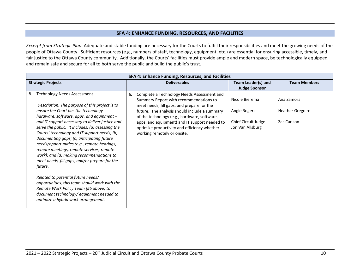#### **SFA 4: ENHANCE FUNDING, RESOURCES, AND FACILITIES**

*Excerpt from Strategic Plan*: Adequate and stable funding are necessary for the Courts to fulfill their responsibilities and meet the growing needs of the people of Ottawa County. Sufficient resources (e.g., numbers of staff, technology, equipment, etc.) are essential for ensuring accessible, timely, and fair justice to the Ottawa County community. Additionally, the Courts' facilities must provide ample and modern space, be technologically equipped, and remain safe and secure for all to both serve the public and build the public's trust.

|    | SFA 4: Enhance Funding, Resources, and Facilities                                                                                                                                                                                                                                                                                                                                                   |                     |                                                                                                                                    |                                                                                                                                                                                                                               |                                         |             |  |              |                         |
|----|-----------------------------------------------------------------------------------------------------------------------------------------------------------------------------------------------------------------------------------------------------------------------------------------------------------------------------------------------------------------------------------------------------|---------------------|------------------------------------------------------------------------------------------------------------------------------------|-------------------------------------------------------------------------------------------------------------------------------------------------------------------------------------------------------------------------------|-----------------------------------------|-------------|--|--------------|-------------------------|
|    | <b>Strategic Projects</b>                                                                                                                                                                                                                                                                                                                                                                           | <b>Deliverables</b> |                                                                                                                                    | Team Leader(s) and                                                                                                                                                                                                            | <b>Team Members</b>                     |             |  |              |                         |
|    |                                                                                                                                                                                                                                                                                                                                                                                                     |                     |                                                                                                                                    | <b>Judge Sponsor</b>                                                                                                                                                                                                          |                                         |             |  |              |                         |
| 8. | <b>Technology Needs Assessment</b><br>Description: The purpose of this project is to                                                                                                                                                                                                                                                                                                                | a.                  | Complete a Technology Needs Assessment and<br>Summary Report with recommendations to<br>meet needs, fill gaps, and prepare for the | Nicole Bierema                                                                                                                                                                                                                | Ana Zamora                              |             |  |              |                         |
|    | ensure the Court has the technology -<br>hardware, software, apps, and equipment -                                                                                                                                                                                                                                                                                                                  |                     |                                                                                                                                    | future. The analysis should include a summary<br>of the technology (e.g., hardware, software,<br>apps, and equipment) and IT support needed to<br>optimize productivity and efficiency whether<br>working remotely or onsite. |                                         |             |  | Angie Rogers | <b>Heather Gregoire</b> |
|    | and IT support necessary to deliver justice and<br>serve the public. It includes: (a) assessing the<br>Courts' technology and IT support needs; (b)<br>documenting gaps; (c) anticipating future<br>needs/opportunities (e.g., remote hearings,<br>remote meetings, remote services, remote<br>work); and (d) making recommendations to<br>meet needs, fill gaps, and/or prepare for the<br>future. |                     |                                                                                                                                    |                                                                                                                                                                                                                               | Chief Circuit Judge<br>Jon Van Allsburg | Zac Carlson |  |              |                         |
|    | Related to potential future needs/<br>opportunities, this team should work with the<br>Remote Work Policy Team (#6 above) to<br>document technology/ equipment needed to<br>optimize a hybrid work arrangement.                                                                                                                                                                                     |                     |                                                                                                                                    |                                                                                                                                                                                                                               |                                         |             |  |              |                         |